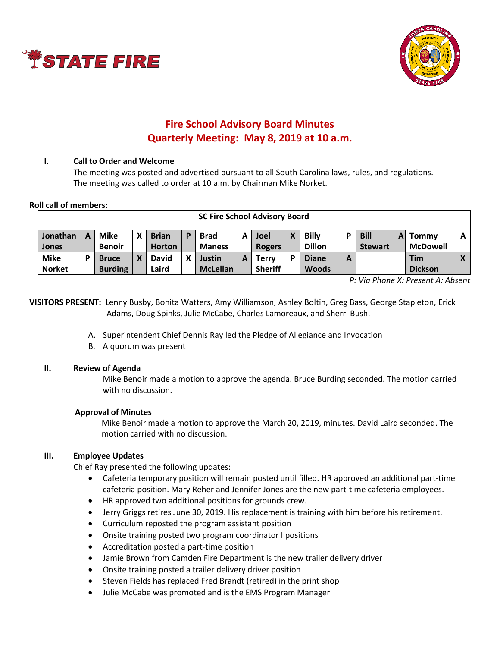



# **Fire School Advisory Board Minutes Quarterly Meeting: May 8, 2019 at 10 a.m.**

### **I. Call to Order and Welcome**

The meeting was posted and advertised pursuant to all South Carolina laws, rules, and regulations. The meeting was called to order at 10 a.m. by Chairman Mike Norket.

### **Roll call of members:**

| <b>SC Fire School Advisory Board</b> |   |                |   |               |   |                 |   |                |   |               |   |                |   |                 |   |
|--------------------------------------|---|----------------|---|---------------|---|-----------------|---|----------------|---|---------------|---|----------------|---|-----------------|---|
| Jonathan                             | A | <b>Mike</b>    | x | <b>Brian</b>  | P | <b>Brad</b>     | А | Joel           | X | <b>Billy</b>  |   | <b>Bill</b>    | A | Tommy           | A |
| <b>Jones</b>                         |   | <b>Benoir</b>  |   | <b>Horton</b> |   | <b>Maness</b>   |   | <b>Rogers</b>  |   | <b>Dillon</b> |   | <b>Stewart</b> |   | <b>McDowell</b> |   |
| <b>Mike</b>                          |   | <b>Bruce</b>   |   | David         | X | Justin          |   | <b>Terry</b>   | Đ | <b>Diane</b>  | A |                |   | Tim             |   |
| <b>Norket</b>                        |   | <b>Burding</b> |   | Laird         |   | <b>McLellan</b> |   | <b>Sheriff</b> |   | <b>Woods</b>  |   |                |   | <b>Dickson</b>  |   |

*P: Via Phone X: Present A: Absent*

**VISITORS PRESENT:** Lenny Busby, Bonita Watters, Amy Williamson, Ashley Boltin, Greg Bass, George Stapleton, Erick Adams, Doug Spinks, Julie McCabe, Charles Lamoreaux, and Sherri Bush.

- A. Superintendent Chief Dennis Ray led the Pledge of Allegiance and Invocation
- B. A quorum was present

### **II. Review of Agenda**

Mike Benoir made a motion to approve the agenda. Bruce Burding seconded. The motion carried with no discussion.

### **Approval of Minutes**

Mike Benoir made a motion to approve the March 20, 2019, minutes. David Laird seconded. The motion carried with no discussion.

### **III. Employee Updates**

Chief Ray presented the following updates:

- Cafeteria temporary position will remain posted until filled. HR approved an additional part-time cafeteria position. Mary Reher and Jennifer Jones are the new part-time cafeteria employees.
- HR approved two additional positions for grounds crew.
- Jerry Griggs retires June 30, 2019. His replacement is training with him before his retirement.
- Curriculum reposted the program assistant position
- Onsite training posted two program coordinator I positions
- Accreditation posted a part-time position
- Jamie Brown from Camden Fire Department is the new trailer delivery driver
- Onsite training posted a trailer delivery driver position
- Steven Fields has replaced Fred Brandt (retired) in the print shop
- Julie McCabe was promoted and is the EMS Program Manager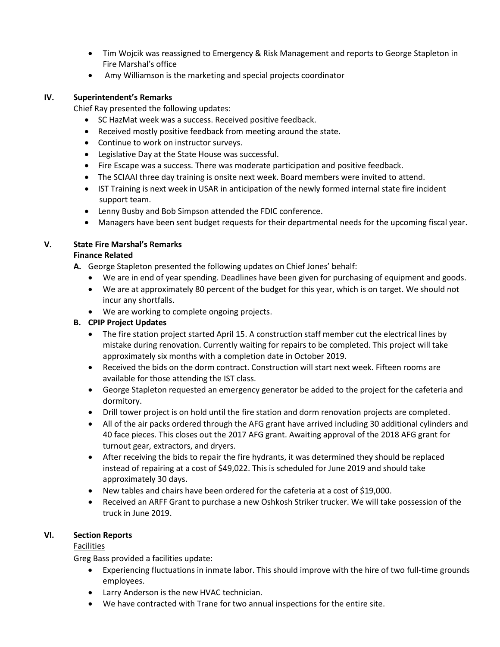- Tim Wojcik was reassigned to Emergency & Risk Management and reports to George Stapleton in Fire Marshal's office
- Amy Williamson is the marketing and special projects coordinator

## **IV. Superintendent's Remarks**

Chief Ray presented the following updates:

- SC HazMat week was a success. Received positive feedback.
- Received mostly positive feedback from meeting around the state.
- Continue to work on instructor surveys.
- Legislative Day at the State House was successful.
- Fire Escape was a success. There was moderate participation and positive feedback.
- The SCIAAI three day training is onsite next week. Board members were invited to attend.
- IST Training is next week in USAR in anticipation of the newly formed internal state fire incident support team.
- Lenny Busby and Bob Simpson attended the FDIC conference.
- Managers have been sent budget requests for their departmental needs for the upcoming fiscal year.

## **V. State Fire Marshal's Remarks**

### **Finance Related**

**A.** George Stapleton presented the following updates on Chief Jones' behalf:

- We are in end of year spending. Deadlines have been given for purchasing of equipment and goods.
- We are at approximately 80 percent of the budget for this year, which is on target. We should not incur any shortfalls.
- We are working to complete ongoing projects.

### **B. CPIP Project Updates**

- The fire station project started April 15. A construction staff member cut the electrical lines by mistake during renovation. Currently waiting for repairs to be completed. This project will take approximately six months with a completion date in October 2019.
- Received the bids on the dorm contract. Construction will start next week. Fifteen rooms are available for those attending the IST class.
- George Stapleton requested an emergency generator be added to the project for the cafeteria and dormitory.
- Drill tower project is on hold until the fire station and dorm renovation projects are completed.
- All of the air packs ordered through the AFG grant have arrived including 30 additional cylinders and 40 face pieces. This closes out the 2017 AFG grant. Awaiting approval of the 2018 AFG grant for turnout gear, extractors, and dryers.
- After receiving the bids to repair the fire hydrants, it was determined they should be replaced instead of repairing at a cost of \$49,022. This is scheduled for June 2019 and should take approximately 30 days.
- New tables and chairs have been ordered for the cafeteria at a cost of \$19,000.
- Received an ARFF Grant to purchase a new Oshkosh Striker trucker. We will take possession of the truck in June 2019.

### **VI. Section Reports**

# Facilities

Greg Bass provided a facilities update:

- Experiencing fluctuations in inmate labor. This should improve with the hire of two full-time grounds employees.
- Larry Anderson is the new HVAC technician.
- We have contracted with Trane for two annual inspections for the entire site.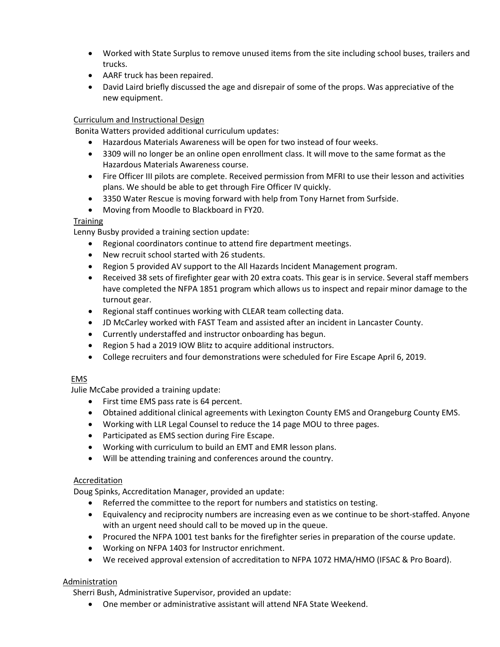- Worked with State Surplus to remove unused items from the site including school buses, trailers and trucks.
- AARF truck has been repaired.
- David Laird briefly discussed the age and disrepair of some of the props. Was appreciative of the new equipment.

# Curriculum and Instructional Design

Bonita Watters provided additional curriculum updates:

- Hazardous Materials Awareness will be open for two instead of four weeks.
- 3309 will no longer be an online open enrollment class. It will move to the same format as the Hazardous Materials Awareness course.
- Fire Officer III pilots are complete. Received permission from MFRI to use their lesson and activities plans. We should be able to get through Fire Officer IV quickly.
- 3350 Water Rescue is moving forward with help from Tony Harnet from Surfside.
- Moving from Moodle to Blackboard in FY20.

### **Training**

Lenny Busby provided a training section update:

- Regional coordinators continue to attend fire department meetings.
- New recruit school started with 26 students.
- Region 5 provided AV support to the All Hazards Incident Management program.
- Received 38 sets of firefighter gear with 20 extra coats. This gear is in service. Several staff members have completed the NFPA 1851 program which allows us to inspect and repair minor damage to the turnout gear.
- Regional staff continues working with CLEAR team collecting data.
- JD McCarley worked with FAST Team and assisted after an incident in Lancaster County.
- Currently understaffed and instructor onboarding has begun.
- Region 5 had a 2019 IOW Blitz to acquire additional instructors.
- College recruiters and four demonstrations were scheduled for Fire Escape April 6, 2019.

# EMS

Julie McCabe provided a training update:

- First time EMS pass rate is 64 percent.
- Obtained additional clinical agreements with Lexington County EMS and Orangeburg County EMS.
- Working with LLR Legal Counsel to reduce the 14 page MOU to three pages.
- Participated as EMS section during Fire Escape.
- Working with curriculum to build an EMT and EMR lesson plans.
- Will be attending training and conferences around the country.

### **Accreditation**

Doug Spinks, Accreditation Manager, provided an update:

- Referred the committee to the report for numbers and statistics on testing.
- Equivalency and reciprocity numbers are increasing even as we continue to be short-staffed. Anyone with an urgent need should call to be moved up in the queue.
- Procured the NFPA 1001 test banks for the firefighter series in preparation of the course update.
- Working on NFPA 1403 for Instructor enrichment.
- We received approval extension of accreditation to NFPA 1072 HMA/HMO (IFSAC & Pro Board).

### Administration

Sherri Bush, Administrative Supervisor, provided an update:

One member or administrative assistant will attend NFA State Weekend.